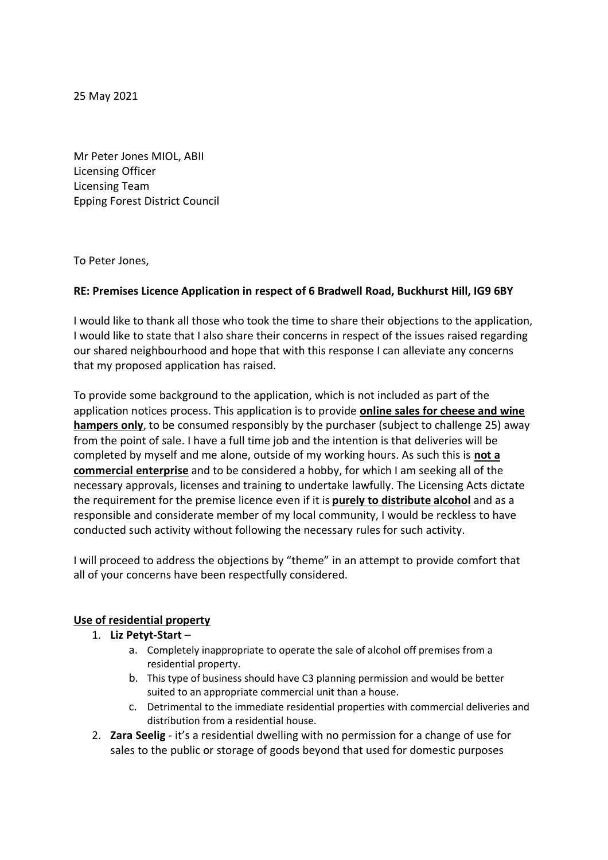25 May 2021

Mr Peter Jones MIOL, ABII Licensing Officer Licensing Team Epping Forest District Council

To Peter Jones,

## **RE: Premises Licence Application in respect of 6 Bradwell Road, Buckhurst Hill, IG9 6BY**

I would like to thank all those who took the time to share their objections to the application, I would like to state that I also share their concerns in respect of the issues raised regarding our shared neighbourhood and hope that with this response I can alleviate any concerns that my proposed application has raised.

To provide some background to the application, which is not included as part of the application notices process. This application is to provide **online sales for cheese and wine hampers only**, to be consumed responsibly by the purchaser (subject to challenge 25) away from the point of sale. I have a full time job and the intention is that deliveries will be completed by myself and me alone, outside of my working hours. As such this is **not a commercial enterprise** and to be considered a hobby, for which I am seeking all of the necessary approvals, licenses and training to undertake lawfully. The Licensing Acts dictate the requirement for the premise licence even if it is **purely to distribute alcohol** and as a responsible and considerate member of my local community, I would be reckless to have conducted such activity without following the necessary rules for such activity.

I will proceed to address the objections by "theme" in an attempt to provide comfort that all of your concerns have been respectfully considered.

#### **Use of residential property**

## 1. **Liz Petyt-Start** –

- a. Completely inappropriate to operate the sale of alcohol off premises from a residential property.
- b. This type of business should have C3 planning permission and would be better suited to an appropriate commercial unit than a house.
- c. Detrimental to the immediate residential properties with commercial deliveries and distribution from a residential house.
- 2. **Zara Seelig** it's a residential dwelling with no permission for a change of use for sales to the public or storage of goods beyond that used for domestic purposes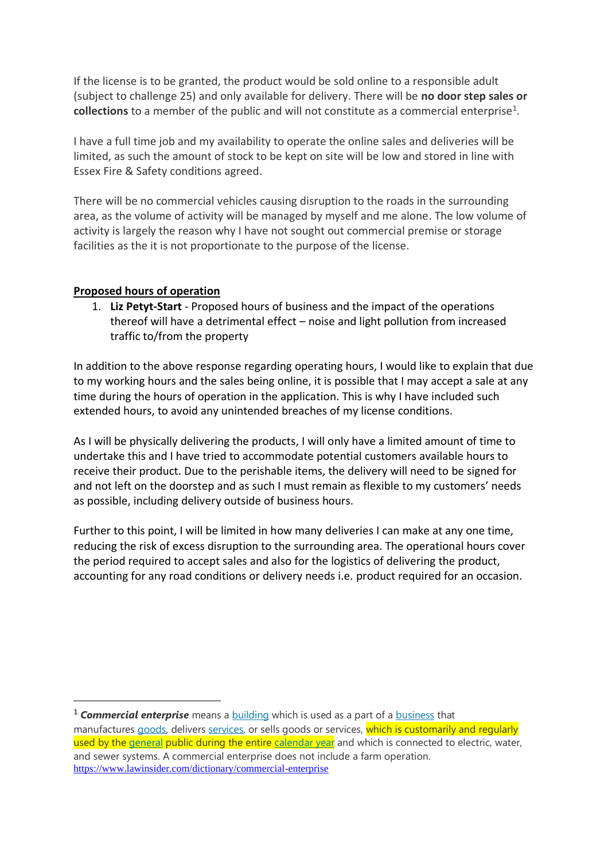If the license is to be granted, the product would be sold online to a responsible adult (subject to challenge 25) and only available for delivery. There will be **no door step sales or**  collections to a member of the public and will not constitute as a commercial enterprise<sup>1</sup>.

I have a full time job and my availability to operate the online sales and deliveries will be limited, as such the amount of stock to be kept on site will be low and stored in line with Essex Fire & Safety conditions agreed.

There will be no commercial vehicles causing disruption to the roads in the surrounding area, as the volume of activity will be managed by myself and me alone. The low volume of activity is largely the reason why I have not sought out commercial premise or storage facilities as the it is not proportionate to the purpose of the license.

## **Proposed hours of operation**

1. **Liz Petyt-Start** - Proposed hours of business and the impact of the operations thereof will have a detrimental effect – noise and light pollution from increased traffic to/from the property

In addition to the above response regarding operating hours, I would like to explain that due to my working hours and the sales being online, it is possible that I may accept a sale at any time during the hours of operation in the application. This is why I have included such extended hours, to avoid any unintended breaches of my license conditions.

As I will be physically delivering the products, I will only have a limited amount of time to undertake this and I have tried to accommodate potential customers available hours to receive their product. Due to the perishable items, the delivery will need to be signed for and not left on the doorstep and as such I must remain as flexible to my customers' needs as possible, including delivery outside of business hours.

Further to this point, I will be limited in how many deliveries I can make at any one time, reducing the risk of excess disruption to the surrounding area. The operational hours cover the period required to accept sales and also for the logistics of delivering the product, accounting for any road conditions or delivery needs i.e. product required for an occasion.

<sup>&</sup>lt;sup>1</sup> **Commercial enterprise** means a **building** which is used as a part of a **business** that manufactures goods, delivers services, or sells goods or services, which is customarily and regularly used by the general public during the entire calendar year and which is connected to electric, water, and sewer systems. A commercial enterprise does not include a farm operation. https://www.lawinsider.com/dictionary/commercial-enterprise